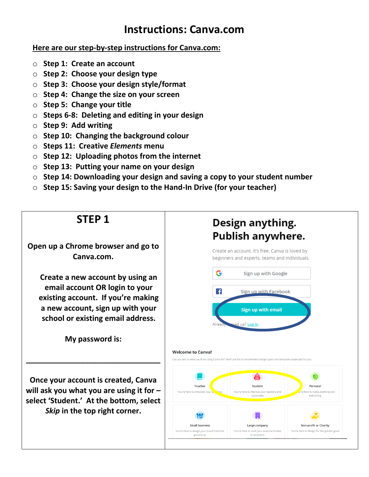#### **Instructions: Canva.com**

#### **Here are our step-by-step instructions for Canva.com:**

- o **Step 1: Create an account**
- o **Step 2: Choose your design type**
- o **Step 3: Choose your design style/format**
- o **Step 4: Change the size on your screen**
- o **Step 5: Change your title**
- o **Steps 6-8: Deleting and editing in your design**
- o **Step 9: Add writing**
- o **Step 10: Changing the background colour**
- o **Steps 11: Creative** *Elements* **menu**
- o **Step 12: Uploading photos from the internet**
- o **Step 13: Putting your name on your design**
- o **Step 14: Downloading your design and saving a copy to your student number**
- o **Step 15: Saving your design to the Hand-In Drive (for your teacher)**



**Open up a Chrome browser and go to Canva.com.**

**Create a new account by using an email account OR login to your existing account. If you're making a new account, sign up with your school or existing email address.**

**My password is:**

**\_\_\_\_\_\_\_\_\_\_\_\_\_\_\_\_\_\_\_\_\_\_\_\_\_\_\_\_\_\_\_\_**

**Once your account is created, Canva will ask you what you are using it for – select 'Student.' At the bottom, select** *Skip* **in the top right corner.**

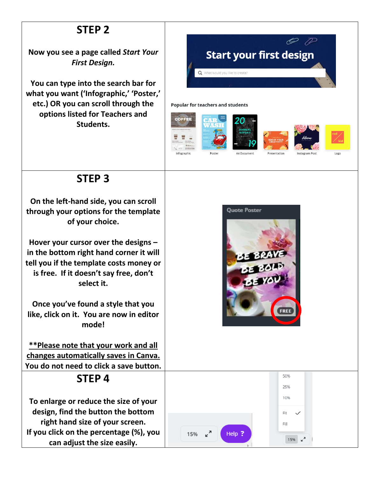# **STEP 2**

**Now you see a page called** *Start Your First Design.*

**You can type into the search bar for what you want ('Infographic,' 'Poster,' etc.) OR you can scroll through the options listed for Teachers and Students.**



# **STEP 3**

**On the left-hand side, you can scroll through your options for the template of your choice.** 

**Hover your cursor over the designs – in the bottom right hand corner it will tell you if the template costs money or is free. If it doesn't say free, don't select it.** 

**Once you've found a style that you like, click on it. You are now in editor mode!** 

**\*\*Please note that your work and all changes automatically saves in Canva. You do not need to click a save button.** 

# **STEP 4**

**To enlarge or reduce the size of your design, find the button the bottom right hand size of your screen. If you click on the percentage (%), you can adjust the size easily.** 



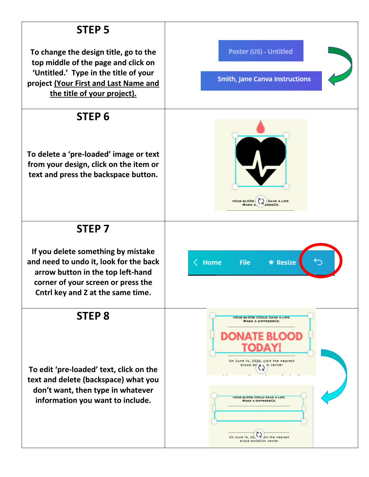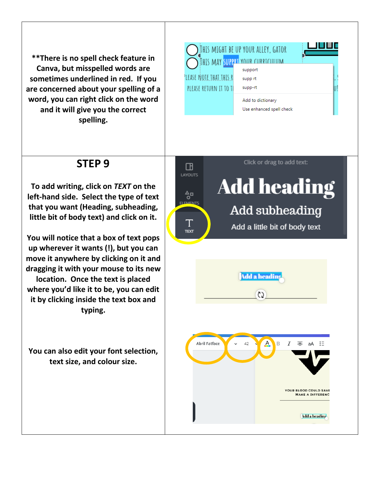**\*\*There is no spell check feature in Canva, but misspelled words are sometimes underlined in red. If you are concerned about your spelling of a word, you can right click on the word and it will give you the correct spelling.** 

|                                 | IHIS MIGHT BE UP YOUR ALLEY, GATOR |  |
|---------------------------------|------------------------------------|--|
|                                 |                                    |  |
|                                 | support                            |  |
| 'LEASE N <u>ote that this r</u> | supp rt                            |  |
| PLEASE RETURN IT                | supp-rt                            |  |
|                                 | Add to dictionary                  |  |
|                                 | Use enhanced spell check           |  |
|                                 |                                    |  |

## **STEP 9**

**To add writing, click on** *TEXT* **on the left-hand side. Select the type of text that you want (Heading, subheading, little bit of body text) and click on it.**

**You will notice that a box of text pops up wherever it wants (!), but you can move it anywhere by clicking on it and dragging it with your mouse to its new location. Once the text is placed where you'd like it to be, you can edit it by clicking inside the text box and typing.** 

**You can also edit your font selection, text size, and colour size.** 

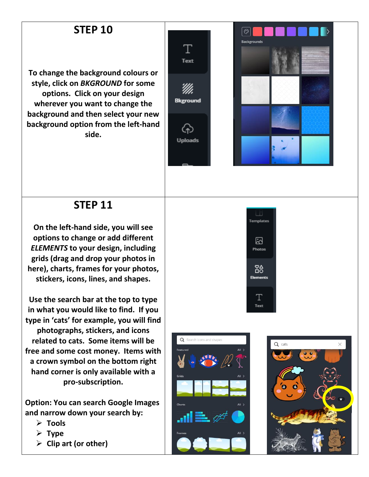# **STEP 10**

**To change the background colours or style, click on** *BKGROUND* **for some options. Click on your design wherever you want to change the background and then select your new background option from the left-hand side.**





#### **STEP 11**

**On the left-hand side, you will see options to change or add different**  *ELEMENTS* **to your design, including grids (drag and drop your photos in here), charts, frames for your photos, stickers, icons, lines, and shapes.** 

**Use the search bar at the top to type in what you would like to find. If you type in 'cats' for example, you will find photographs, stickers, and icons related to cats. Some items will be free and some cost money. Items with a crown symbol on the bottom right hand corner is only available with a pro-subscription.** 

**Option: You can search Google Images and narrow down your search by:** 

- ➢ **Tools**
- ➢ **Type**
- ➢ **Clip art (or other)**



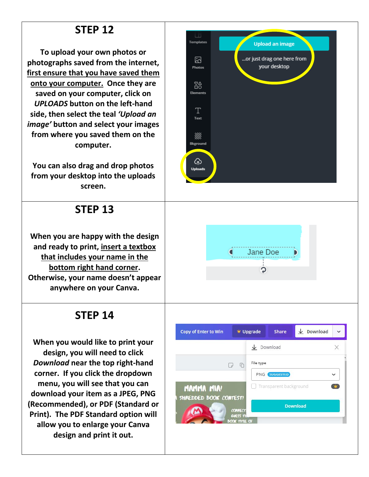# **STEP 12**

**To upload your own photos or photographs saved from the internet, first ensure that you have saved them onto your computer. Once they are saved on your computer, click on**  *UPLOADS* **button on the left-hand side, then select the teal** *'Upload an image'* **button and select your images from where you saved them on the computer.** 

**You can also drag and drop photos from your desktop into the uploads screen.** 

## **STEP 13**

**When you are happy with the design and ready to print, insert a textbox that includes your name in the bottom right hand corner. Otherwise, your name doesn't appear anywhere on your Canva.**

# **STEP 14**

**When you would like to print your design, you will need to click**  *Download* **near the top right-hand corner. If you click the dropdown menu, you will see that you can download your item as a JPEG, PNG (Recommended), or PDF (Standard or Print). The PDF Standard option will allow you to enlarge your Canva design and print it out.** 





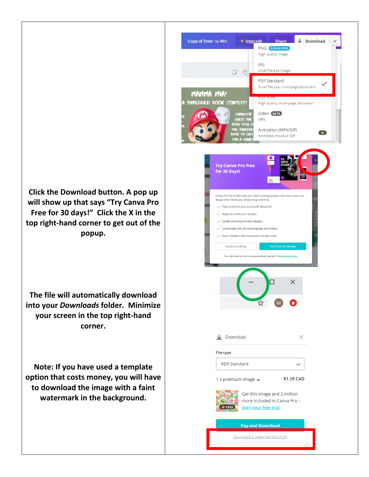

**Click the Download button. A pop up will show up that says "Try Canva Pro Free for 30 days!" Click the X in the top right-hand corner to get out of the popup.** 

**The file will automatically download into your** *Downloads* **folder***.* **Minimize your screen in the top right-hand corner.** 

**Note: If you have used a template option that costs money, you will have to download the image with a faint watermark in the background.**